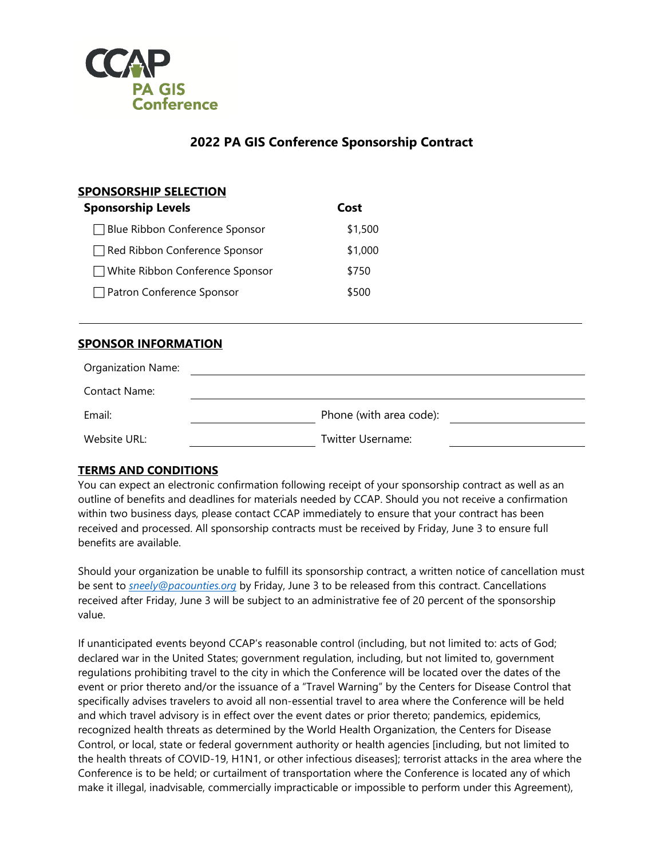

## **2022 PA GIS Conference Sponsorship Contract**

| <b>SPONSORSHIP SELECTION</b><br><b>Sponsorship Levels</b> | Cost    |
|-----------------------------------------------------------|---------|
| □ Blue Ribbon Conference Sponsor                          | \$1,500 |
| Red Ribbon Conference Sponsor                             | \$1,000 |
| $\Box$ White Ribbon Conference Sponsor                    | \$750   |
| Patron Conference Sponsor                                 | \$500   |

## **SPONSOR INFORMATION**

| <b>Organization Name:</b> |                         |  |
|---------------------------|-------------------------|--|
| Contact Name:             |                         |  |
| Email:                    | Phone (with area code): |  |
| Website URL:              | Twitter Username:       |  |

## **TERMS AND CONDITIONS**

You can expect an electronic confirmation following receipt of your sponsorship contract as well as an outline of benefits and deadlines for materials needed by CCAP. Should you not receive a confirmation within two business days, please contact CCAP immediately to ensure that your contract has been received and processed. All sponsorship contracts must be received by Friday, June 3 to ensure full benefits are available.

Should your organization be unable to fulfill its sponsorship contract, a written notice of cancellation must be sent to *[sneely@pacounties.org](mailto:sneely@pacounties.org)* by Friday, June 3 to be released from this contract. Cancellations received after Friday, June 3 will be subject to an administrative fee of 20 percent of the sponsorship value.

If unanticipated events beyond CCAP's reasonable control (including, but not limited to: acts of God; declared war in the United States; government regulation, including, but not limited to, government regulations prohibiting travel to the city in which the Conference will be located over the dates of the event or prior thereto and/or the issuance of a "Travel Warning" by the Centers for Disease Control that specifically advises travelers to avoid all non-essential travel to area where the Conference will be held and which travel advisory is in effect over the event dates or prior thereto; pandemics, epidemics, recognized health threats as determined by the World Health Organization, the Centers for Disease Control, or local, state or federal government authority or health agencies [including, but not limited to the health threats of COVID-19, H1N1, or other infectious diseases]; terrorist attacks in the area where the Conference is to be held; or curtailment of transportation where the Conference is located any of which make it illegal, inadvisable, commercially impracticable or impossible to perform under this Agreement),